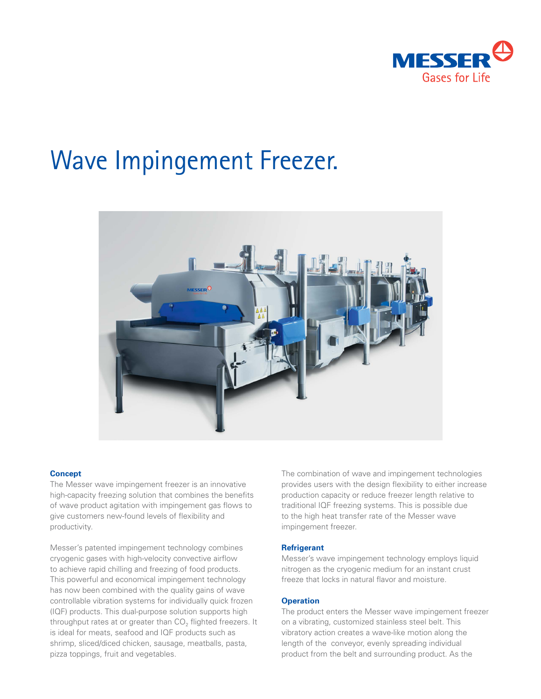

# Wave Impingement Freezer.



## **Concept**

The Messer wave impingement freezer is an innovative high-capacity freezing solution that combines the benefits of wave product agitation with impingement gas flows to give customers new-found levels of flexibility and productivity.

Messer's patented impingement technology combines cryogenic gases with high-velocity convective airflow to achieve rapid chilling and freezing of food products. This powerful and economical impingement technology has now been combined with the quality gains of wave controllable vibration systems for individually quick frozen (IQF) products. This dual-purpose solution supports high throughput rates at or greater than  $CO<sub>2</sub>$  flighted freezers. It is ideal for meats, seafood and IQF products such as shrimp, sliced/diced chicken, sausage, meatballs, pasta, pizza toppings, fruit and vegetables.

The combination of wave and impingement technologies provides users with the design flexibility to either increase production capacity or reduce freezer length relative to traditional IQF freezing systems. This is possible due to the high heat transfer rate of the Messer wave impingement freezer.

# **Refrigerant**

Messer's wave impingement technology employs liquid nitrogen as the cryogenic medium for an instant crust freeze that locks in natural flavor and moisture.

# **Operation**

The product enters the Messer wave impingement freezer on a vibrating, customized stainless steel belt. This vibratory action creates a wave-like motion along the length of the conveyor, evenly spreading individual product from the belt and surrounding product. As the